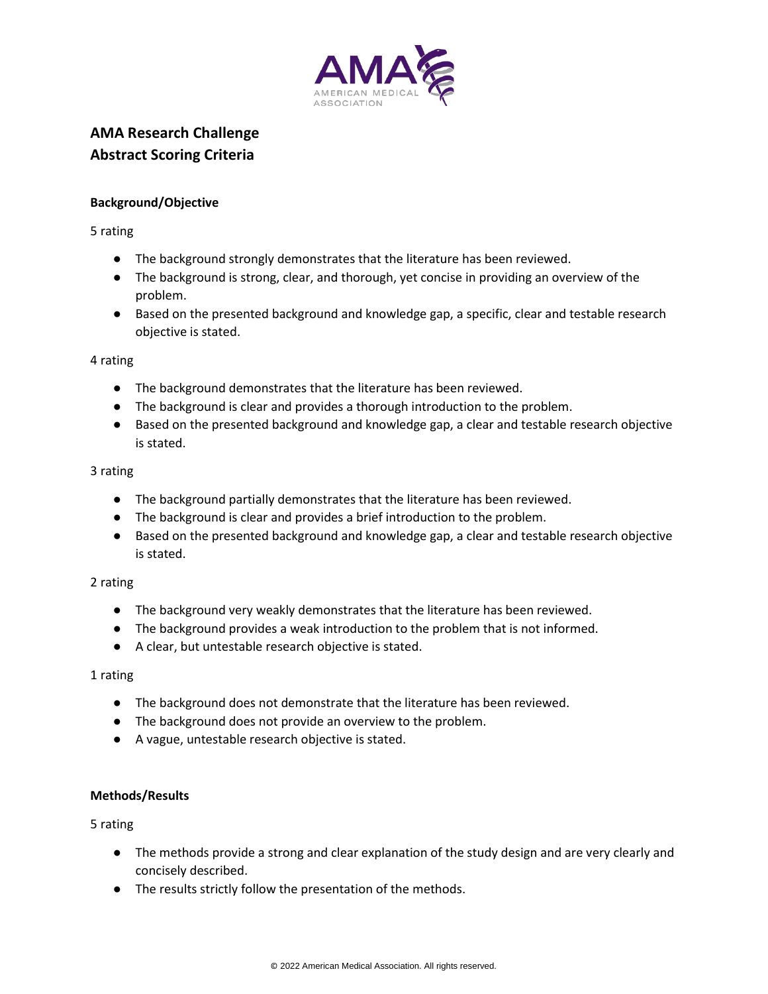

# **AMA Research Challenge Abstract Scoring Criteria**

## **Background/Objective**

5 rating

- The background strongly demonstrates that the literature has been reviewed.
- The background is strong, clear, and thorough, yet concise in providing an overview of the problem.
- Based on the presented background and knowledge gap, a specific, clear and testable research objective is stated.

4 rating

- The background demonstrates that the literature has been reviewed.
- The background is clear and provides a thorough introduction to the problem.
- Based on the presented background and knowledge gap, a clear and testable research objective is stated.

3 rating

- The background partially demonstrates that the literature has been reviewed.
- The background is clear and provides a brief introduction to the problem.
- Based on the presented background and knowledge gap, a clear and testable research objective is stated.

## 2 rating

- The background very weakly demonstrates that the literature has been reviewed.
- The background provides a weak introduction to the problem that is not informed.
- A clear, but untestable research objective is stated.

## 1 rating

- The background does not demonstrate that the literature has been reviewed.
- The background does not provide an overview to the problem.
- A vague, untestable research objective is stated.

## **Methods/Results**

5 rating

- The methods provide a strong and clear explanation of the study design and are very clearly and concisely described.
- The results strictly follow the presentation of the methods.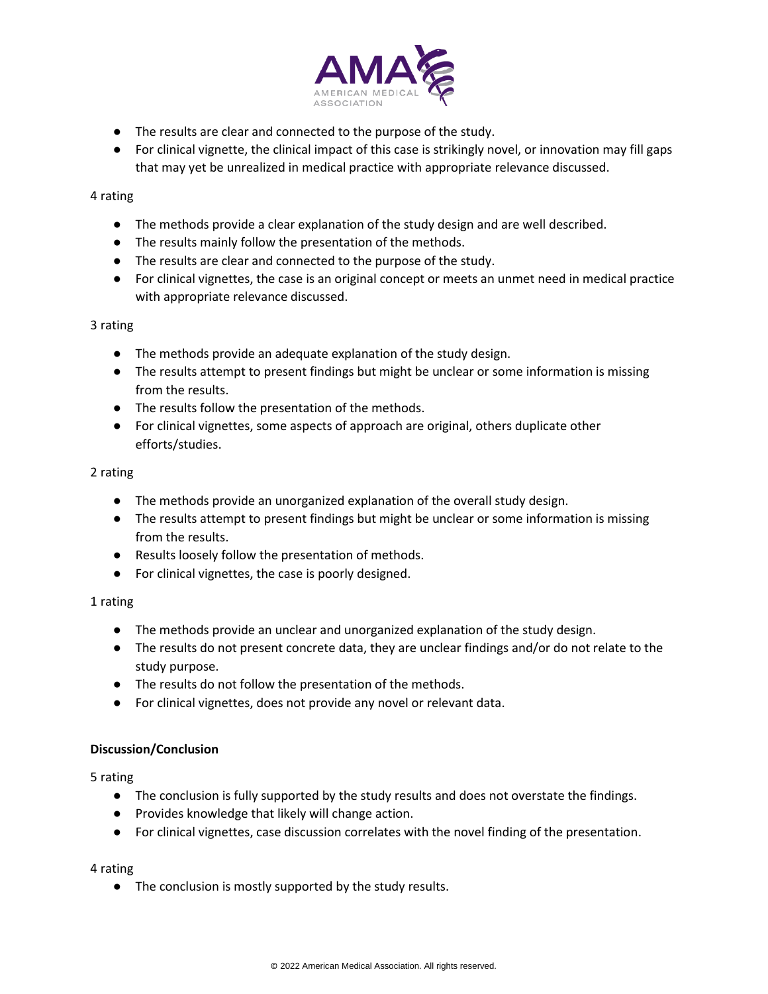

- The results are clear and connected to the purpose of the study.
- For clinical vignette, the clinical impact of this case is strikingly novel, or innovation may fill gaps that may yet be unrealized in medical practice with appropriate relevance discussed.

## 4 rating

- The methods provide a clear explanation of the study design and are well described.
- The results mainly follow the presentation of the methods.
- The results are clear and connected to the purpose of the study.
- For clinical vignettes, the case is an original concept or meets an unmet need in medical practice with appropriate relevance discussed.

## 3 rating

- The methods provide an adequate explanation of the study design.
- The results attempt to present findings but might be unclear or some information is missing from the results.
- The results follow the presentation of the methods.
- For clinical vignettes, some aspects of approach are original, others duplicate other efforts/studies.

## 2 rating

- The methods provide an unorganized explanation of the overall study design.
- The results attempt to present findings but might be unclear or some information is missing from the results.
- Results loosely follow the presentation of methods.
- For clinical vignettes, the case is poorly designed.

## 1 rating

- The methods provide an unclear and unorganized explanation of the study design.
- The results do not present concrete data, they are unclear findings and/or do not relate to the study purpose.
- The results do not follow the presentation of the methods.
- For clinical vignettes, does not provide any novel or relevant data.

## **Discussion/Conclusion**

5 rating

- The conclusion is fully supported by the study results and does not overstate the findings.
- Provides knowledge that likely will change action.
- For clinical vignettes, case discussion correlates with the novel finding of the presentation.

## 4 rating

● The conclusion is mostly supported by the study results.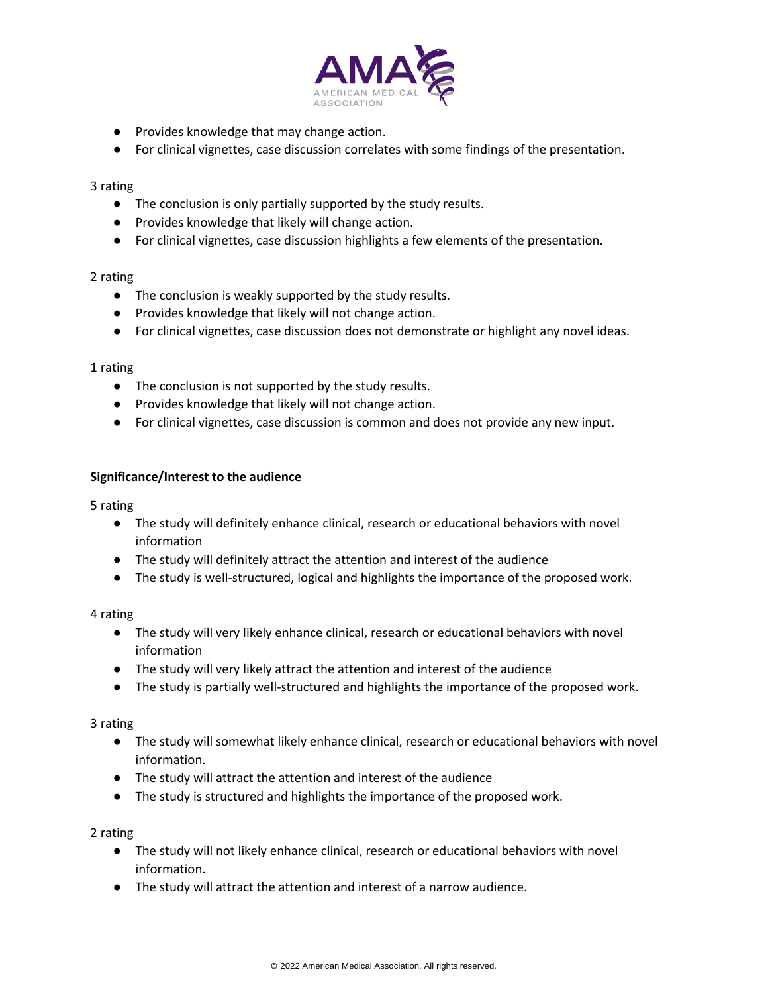

- Provides knowledge that may change action.
- For clinical vignettes, case discussion correlates with some findings of the presentation.

#### 3 rating

- The conclusion is only partially supported by the study results.
- Provides knowledge that likely will change action.
- For clinical vignettes, case discussion highlights a few elements of the presentation.

#### 2 rating

- The conclusion is weakly supported by the study results.
- Provides knowledge that likely will not change action.
- For clinical vignettes, case discussion does not demonstrate or highlight any novel ideas.

#### 1 rating

- The conclusion is not supported by the study results.
- Provides knowledge that likely will not change action.
- For clinical vignettes, case discussion is common and does not provide any new input.

## **Significance/Interest to the audience**

5 rating

- The study will definitely enhance clinical, research or educational behaviors with novel information
- The study will definitely attract the attention and interest of the audience
- The study is well-structured, logical and highlights the importance of the proposed work.

## 4 rating

- The study will very likely enhance clinical, research or educational behaviors with novel information
- The study will very likely attract the attention and interest of the audience
- The study is partially well-structured and highlights the importance of the proposed work.

## 3 rating

- The study will somewhat likely enhance clinical, research or educational behaviors with novel information.
- The study will attract the attention and interest of the audience
- The study is structured and highlights the importance of the proposed work.

2 rating

- The study will not likely enhance clinical, research or educational behaviors with novel information.
- The study will attract the attention and interest of a narrow audience.